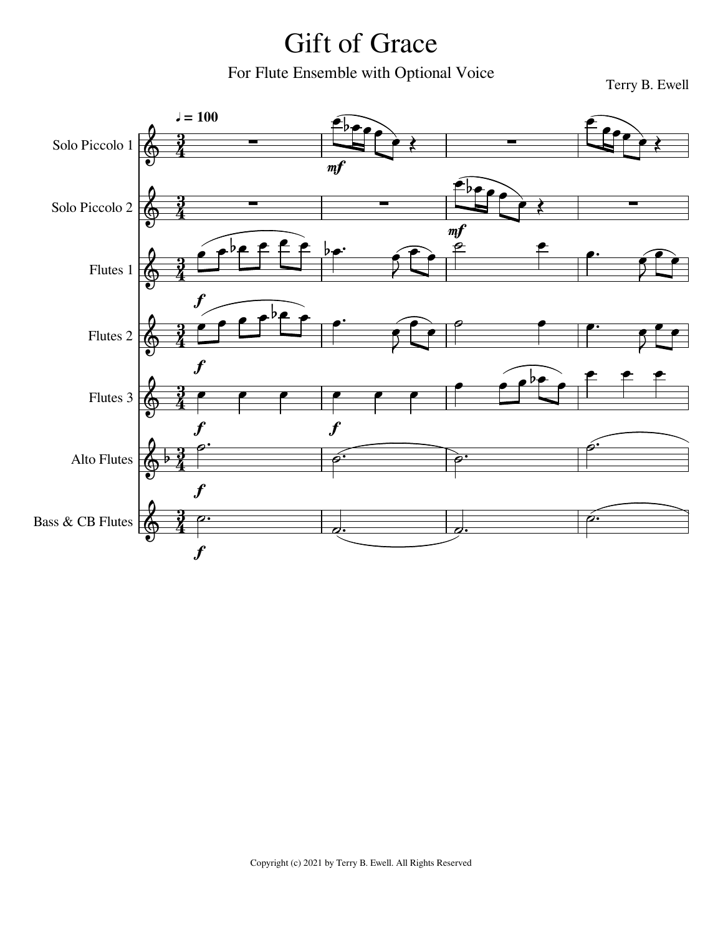For Flute Ensemble with Optional Voice Gift of Grace

Terry B. Ewell

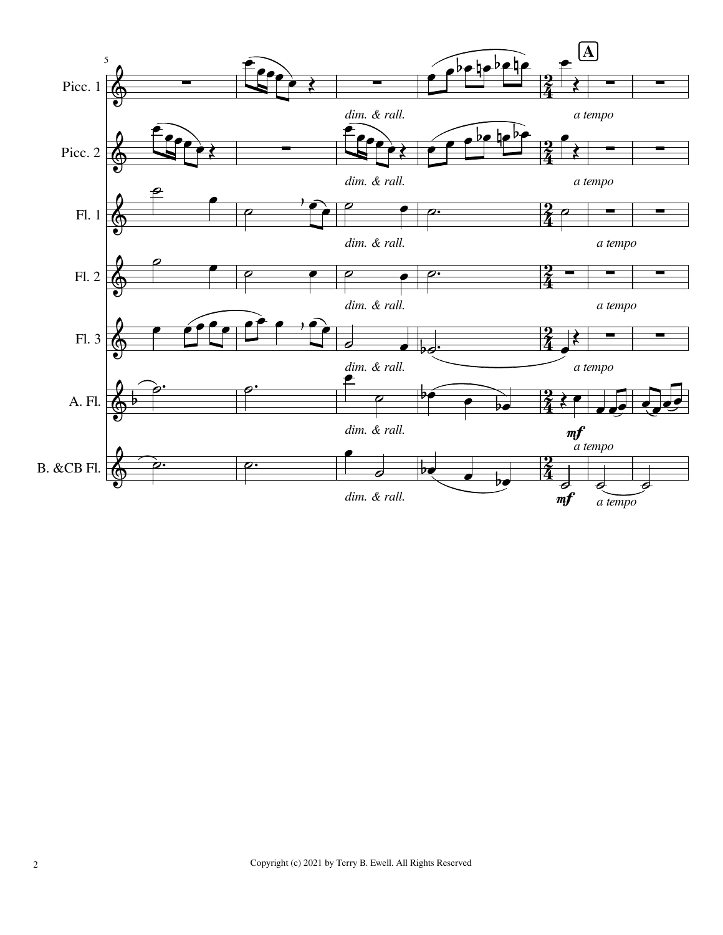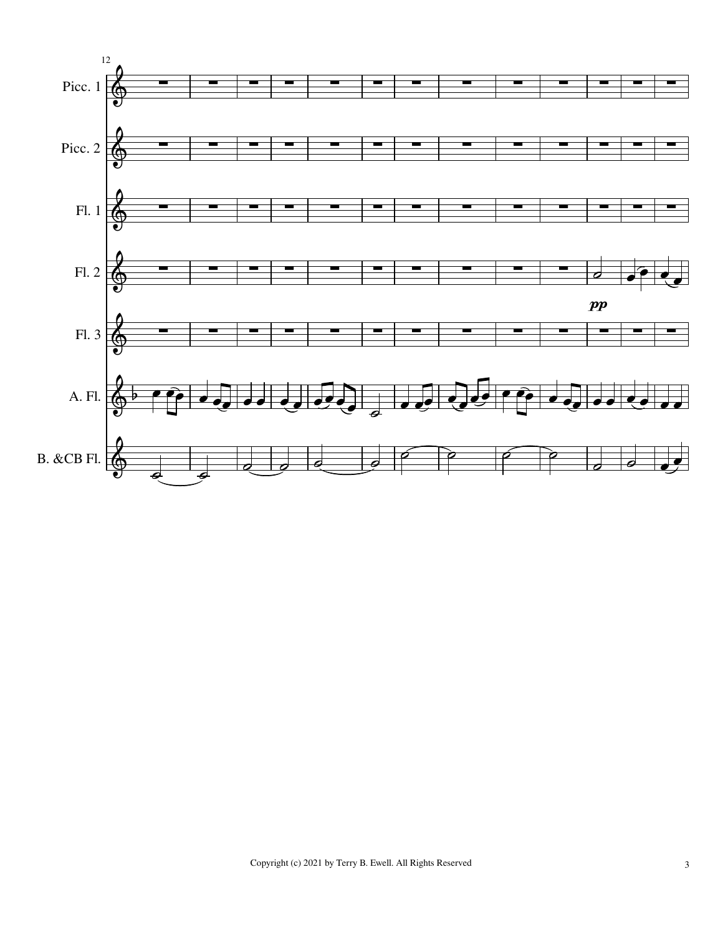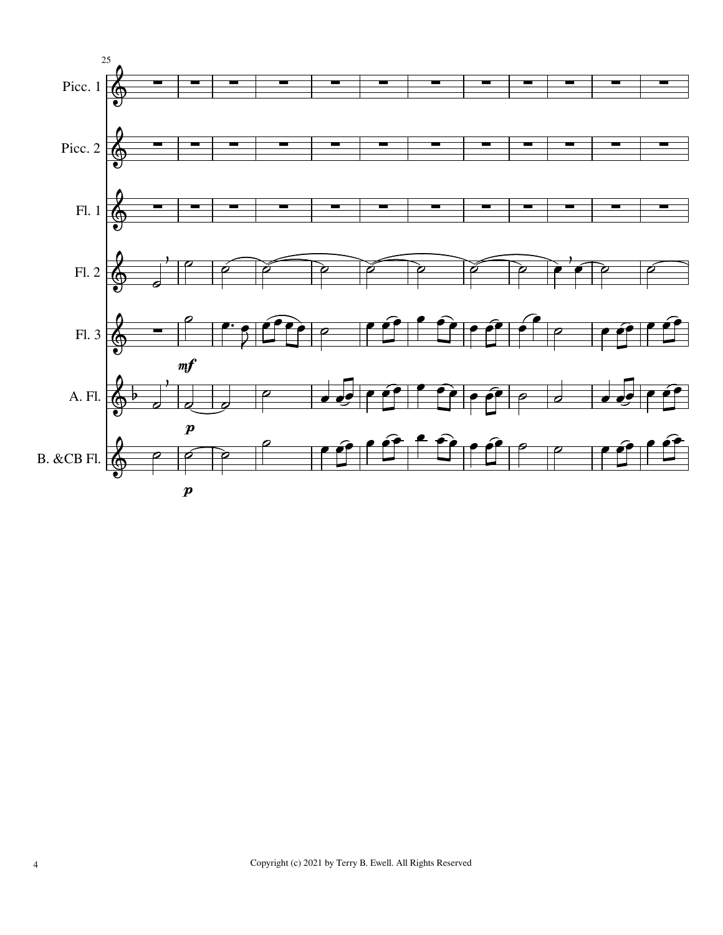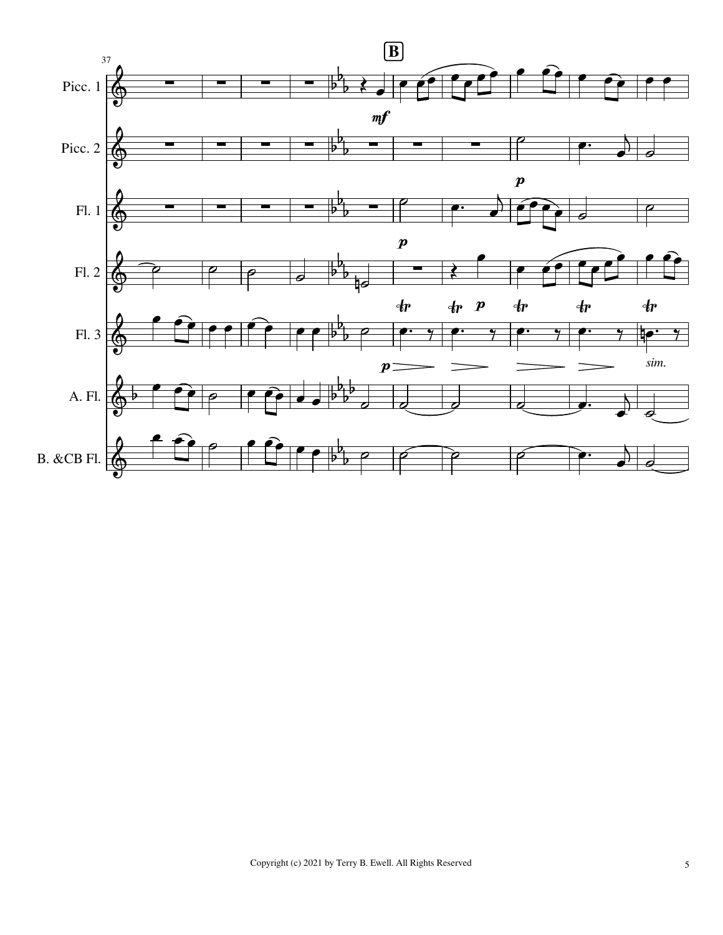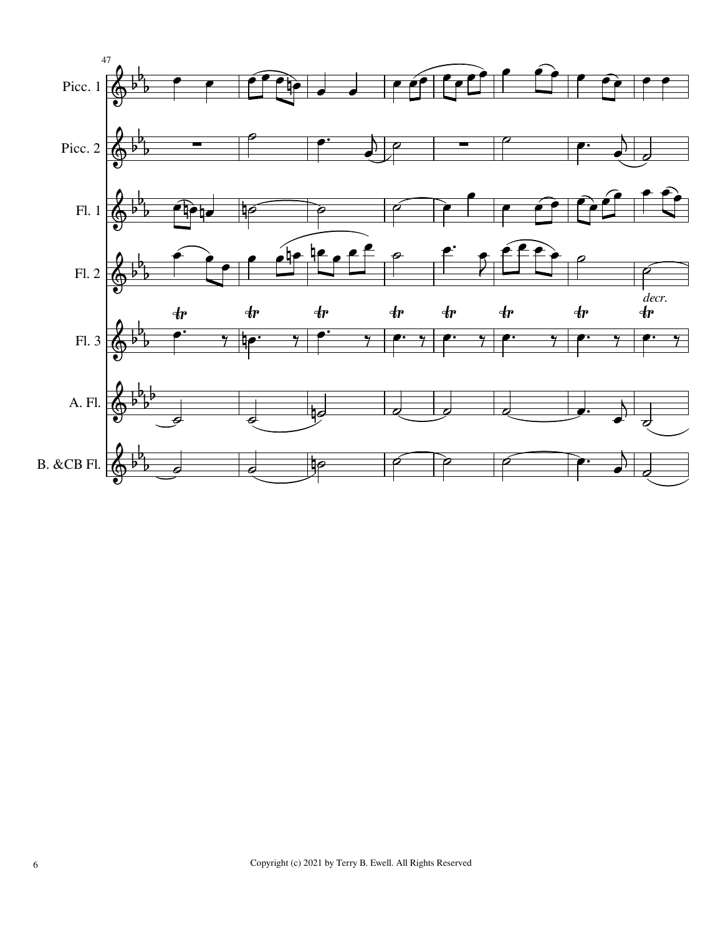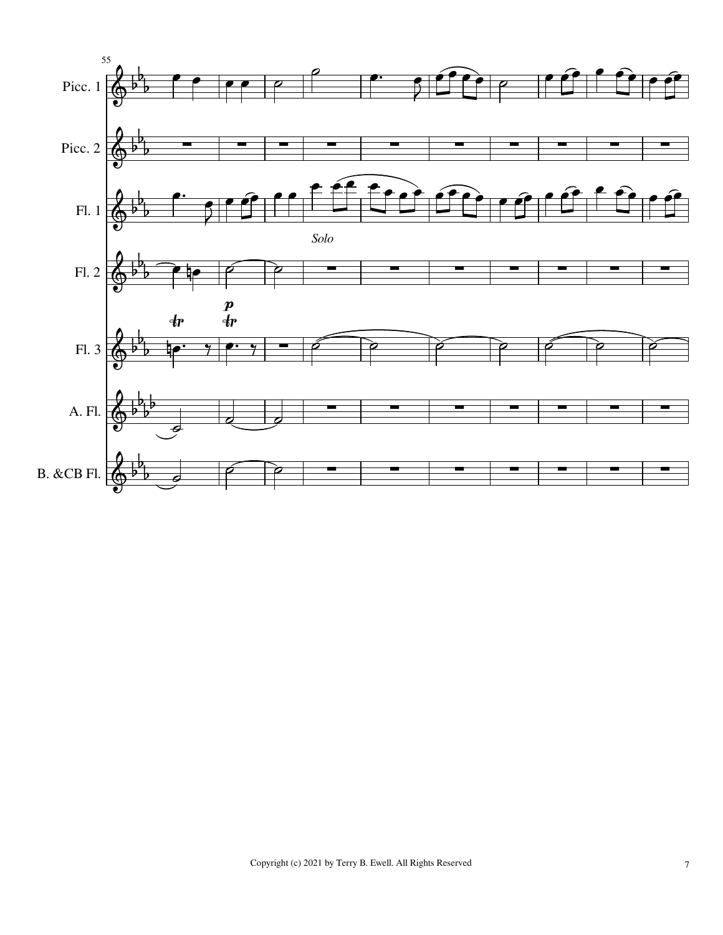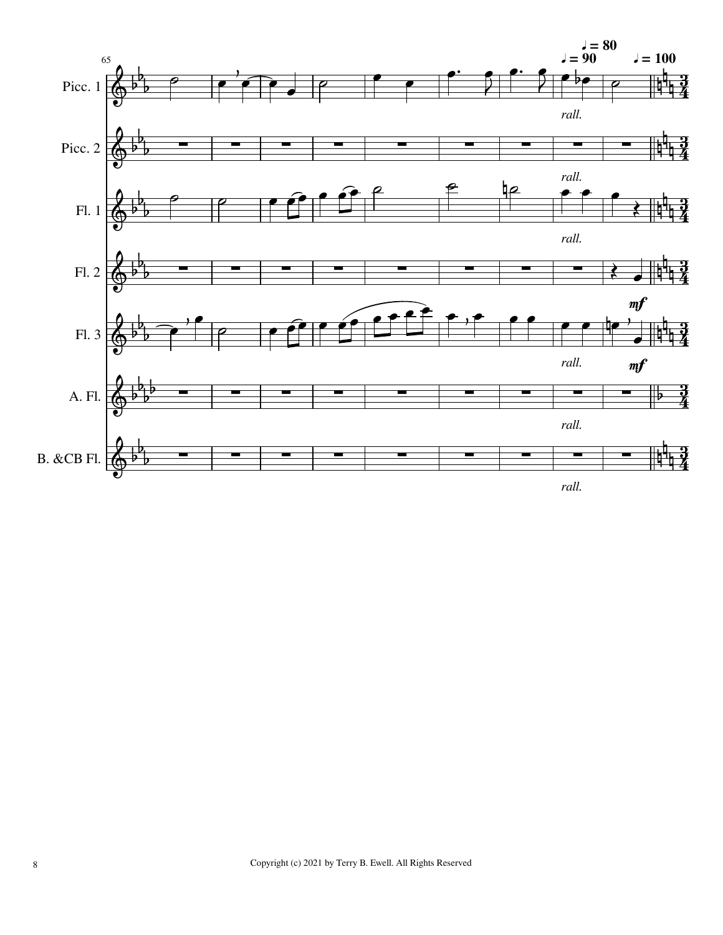

*rall.*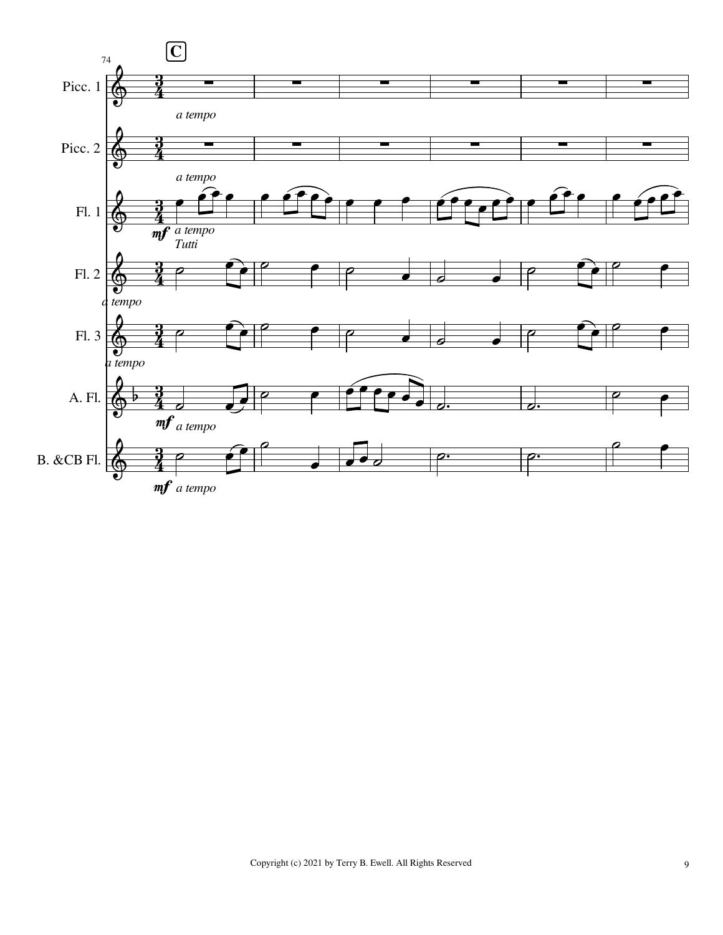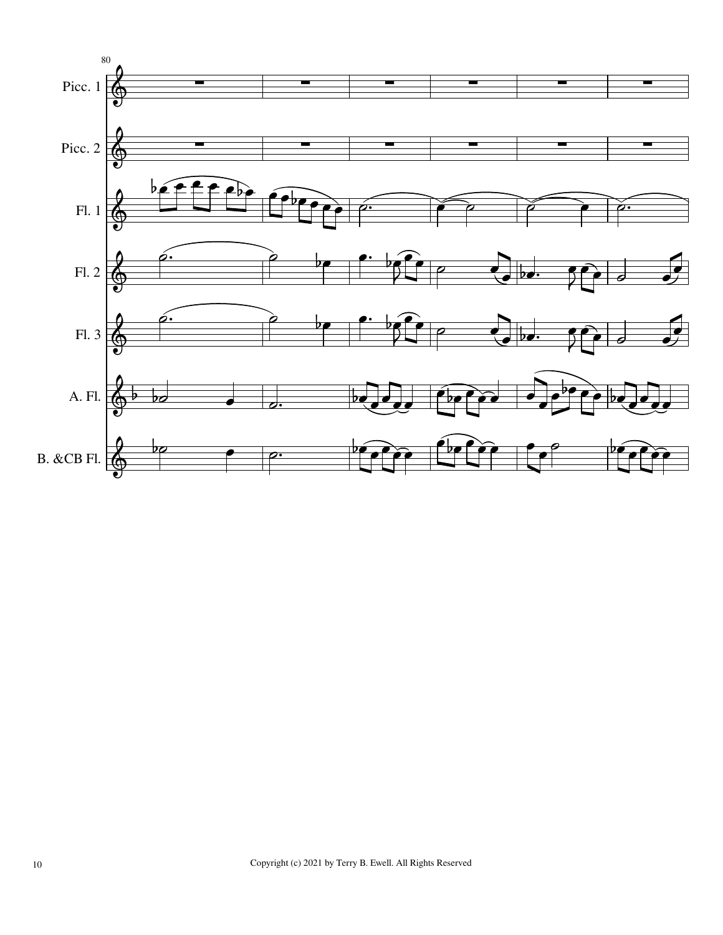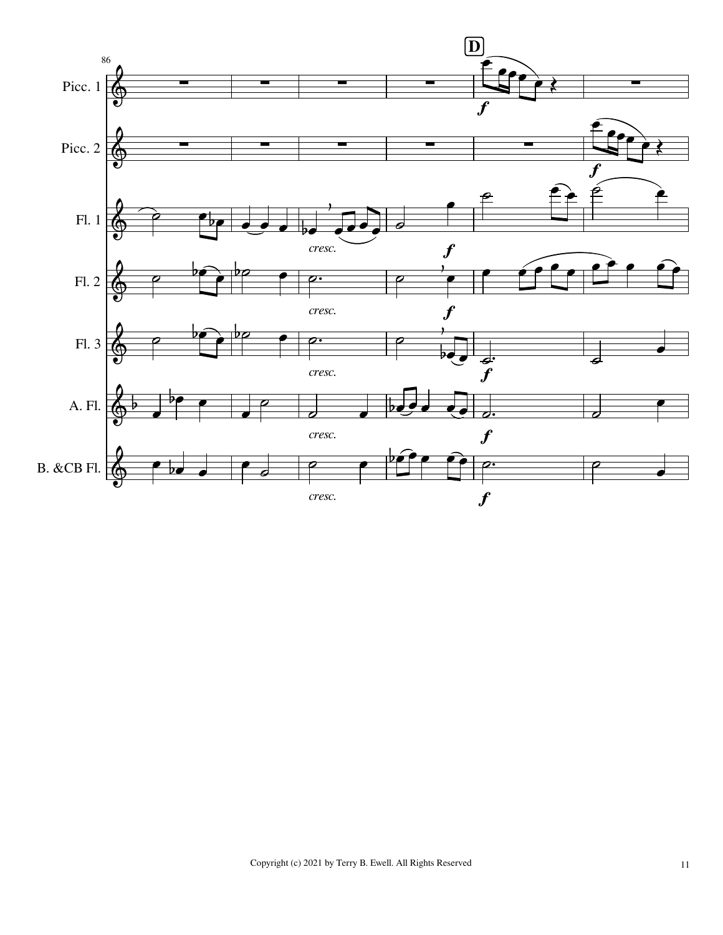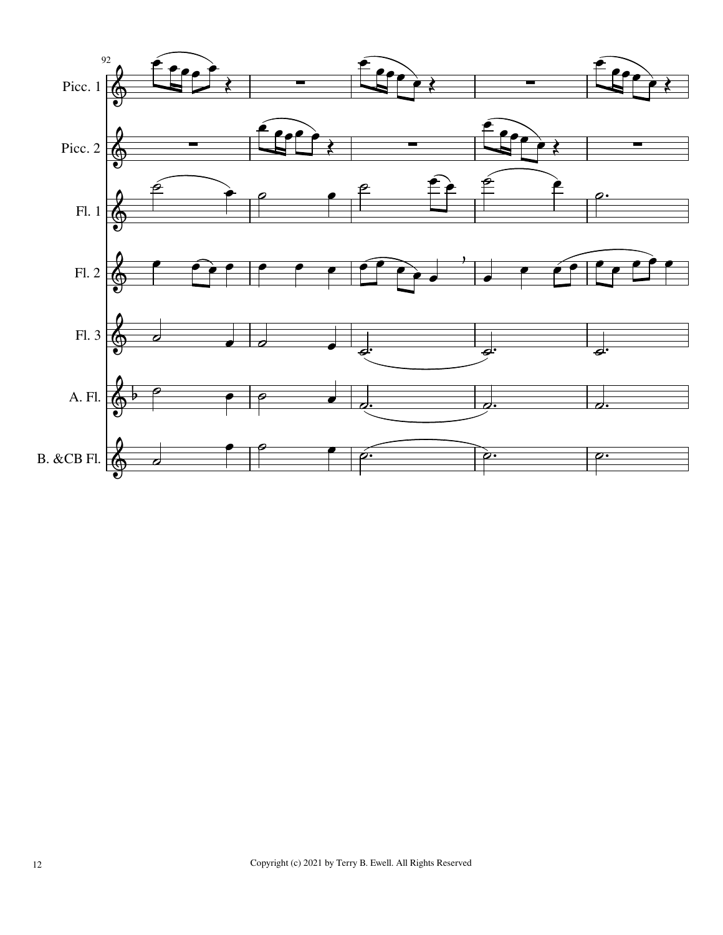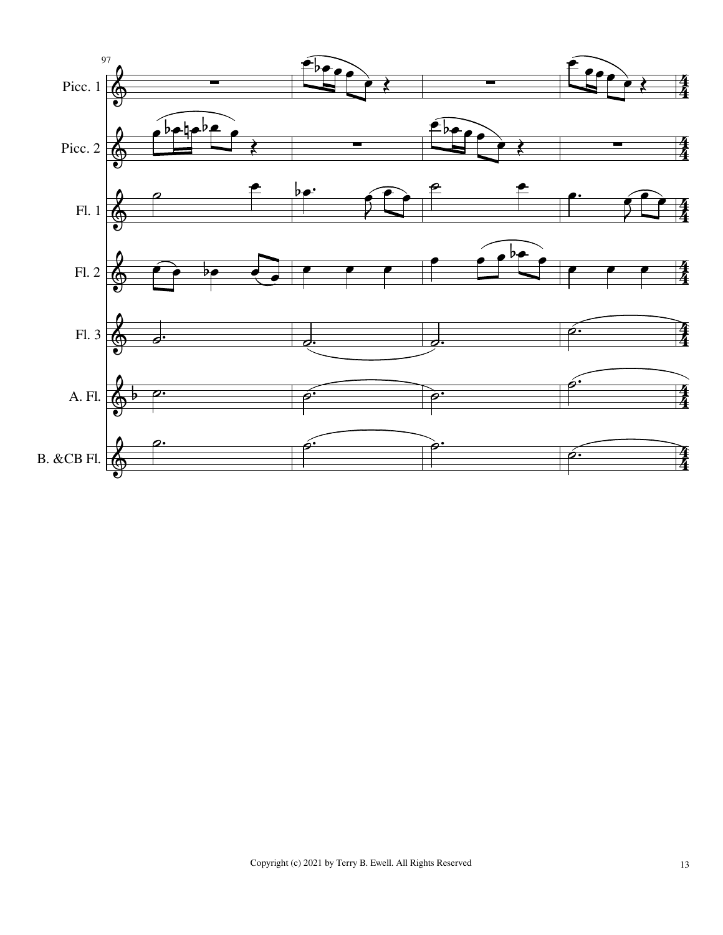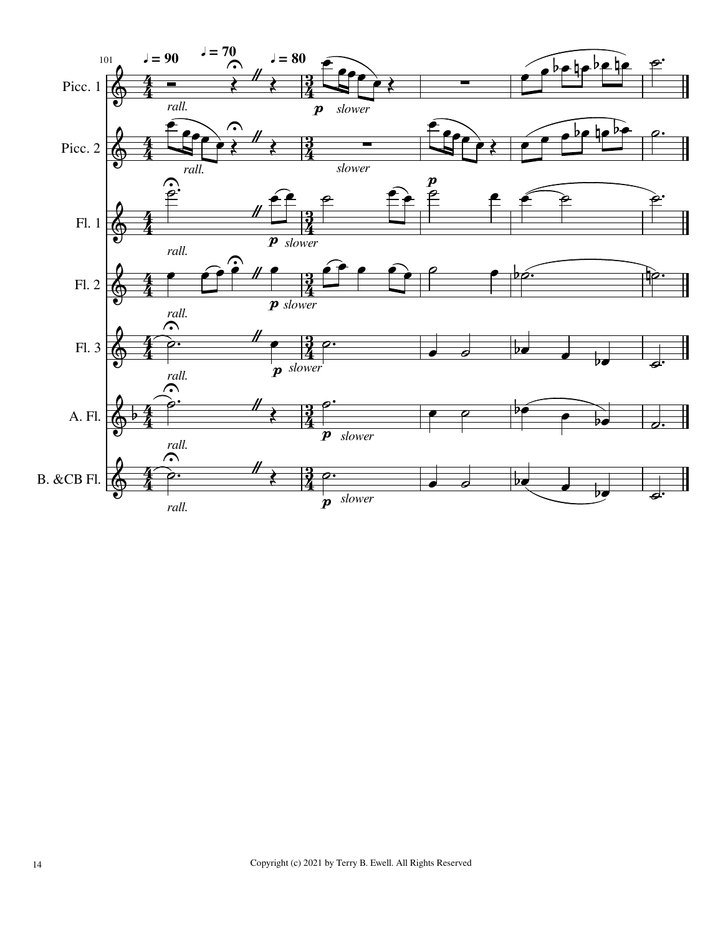![](_page_13_Figure_0.jpeg)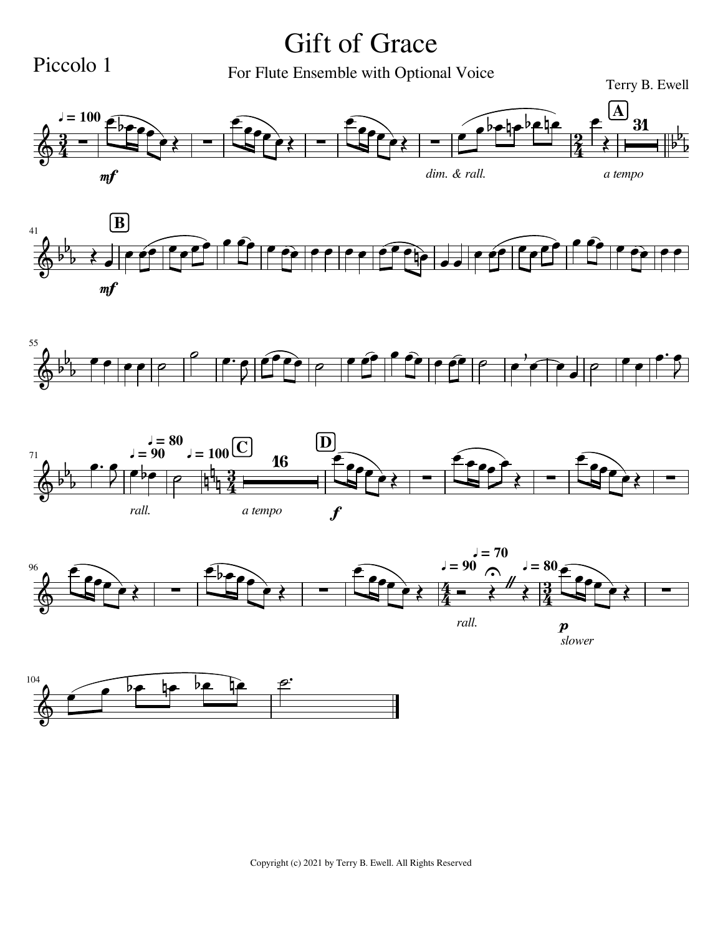Piccolo 1 For Flute Ensemble with Optional Voice

![](_page_14_Figure_2.jpeg)

![](_page_14_Figure_3.jpeg)

![](_page_14_Figure_4.jpeg)

![](_page_14_Figure_5.jpeg)

![](_page_14_Figure_6.jpeg)

![](_page_14_Figure_7.jpeg)

![](_page_14_Figure_8.jpeg)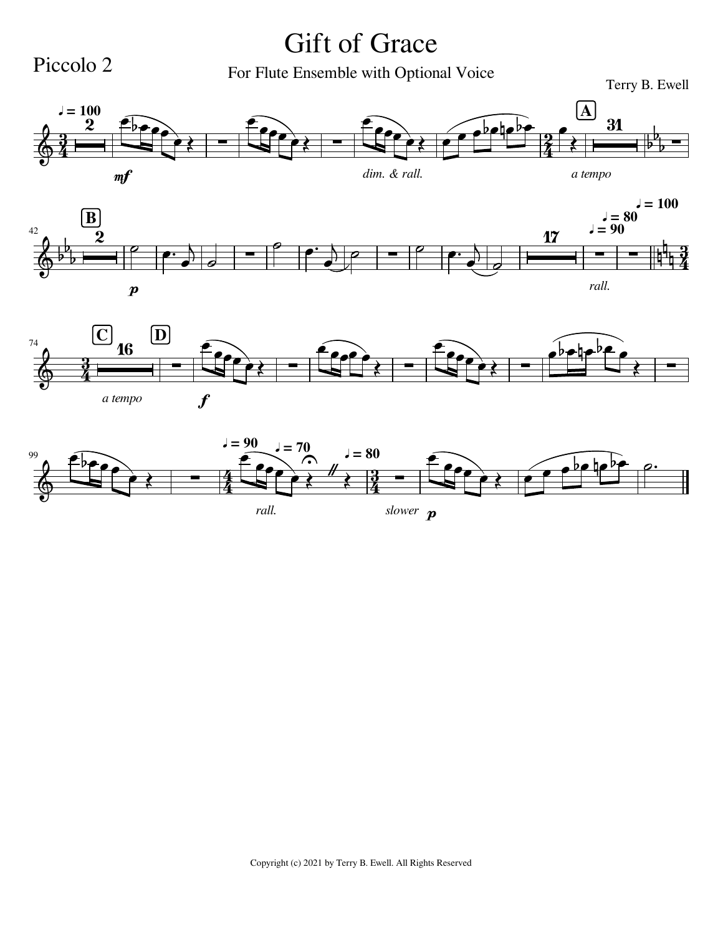Piccolo 2 For Flute Ensemble with Optional Voice

![](_page_15_Figure_2.jpeg)

![](_page_15_Figure_3.jpeg)

![](_page_15_Figure_4.jpeg)

![](_page_15_Figure_5.jpeg)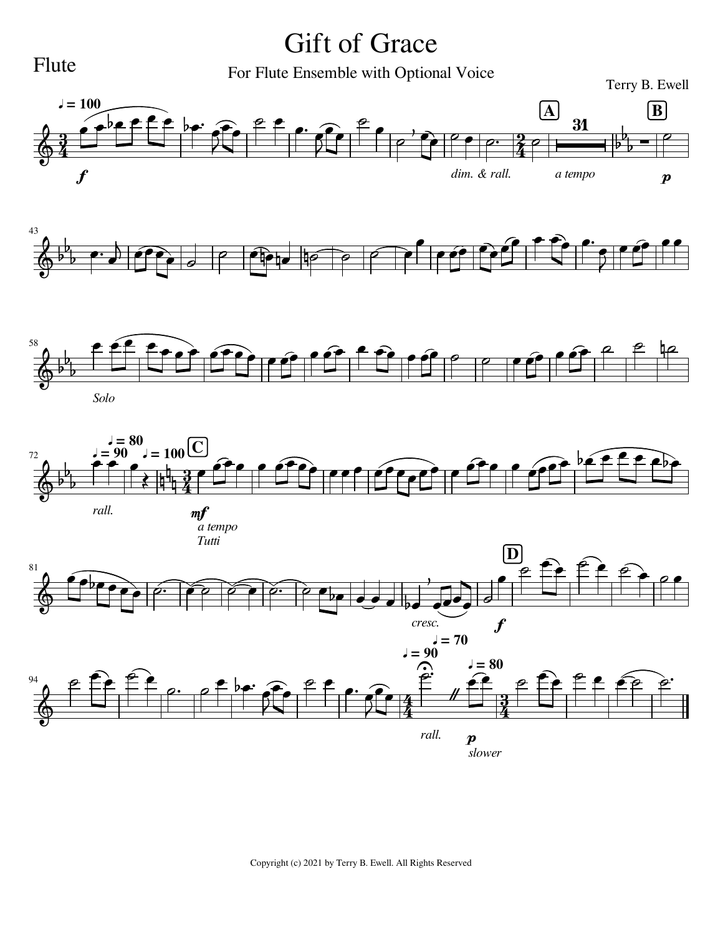Flute For Flute Ensemble with Optional Voice

![](_page_16_Figure_2.jpeg)

![](_page_16_Figure_3.jpeg)

![](_page_16_Figure_4.jpeg)

![](_page_16_Figure_5.jpeg)

![](_page_16_Figure_6.jpeg)

 $m f$ *a tempo Tutti*

![](_page_16_Figure_8.jpeg)

Copyright (c) 2021 by Terry B. Ewell. All Rights Reserved

![](_page_16_Figure_10.jpeg)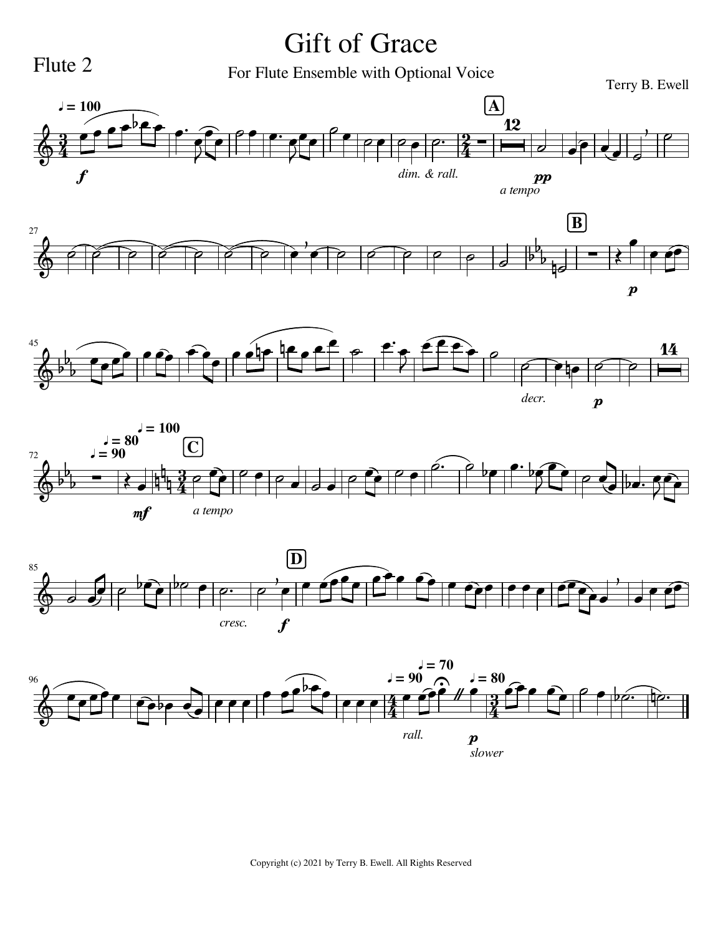Flute 2 For Flute Ensemble with Optional Voice

![](_page_17_Figure_3.jpeg)

![](_page_17_Figure_4.jpeg)

![](_page_17_Figure_5.jpeg)

![](_page_17_Figure_6.jpeg)

![](_page_17_Figure_7.jpeg)

![](_page_17_Figure_9.jpeg)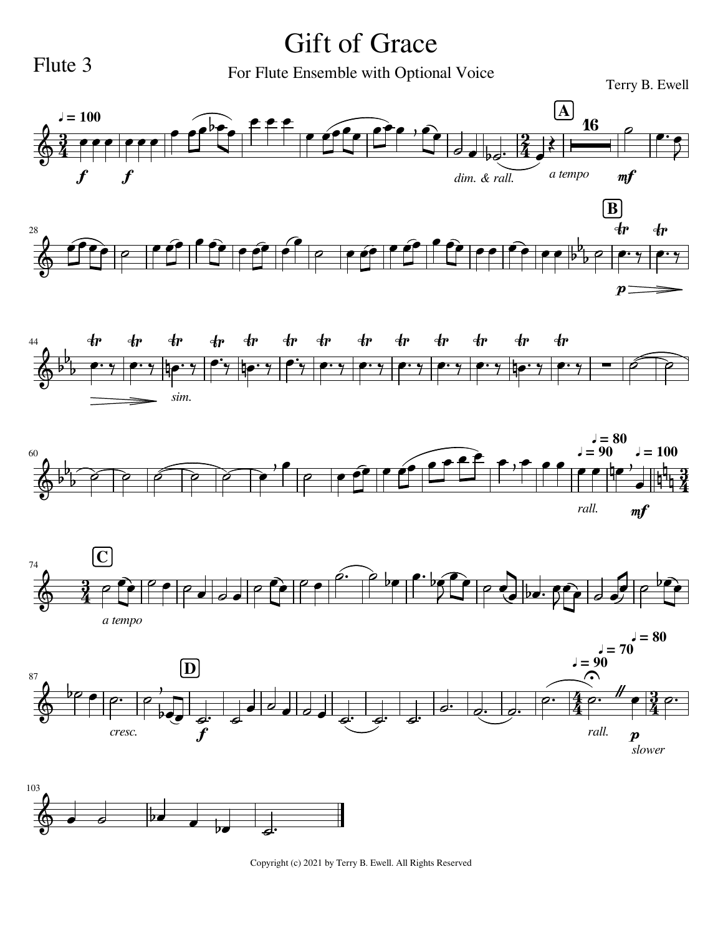Flute 3<br>For Flute Ensemble with Optional Voice

![](_page_18_Figure_3.jpeg)

Copyright (c) 2021 by Terry B. Ewell. All Rights Reserved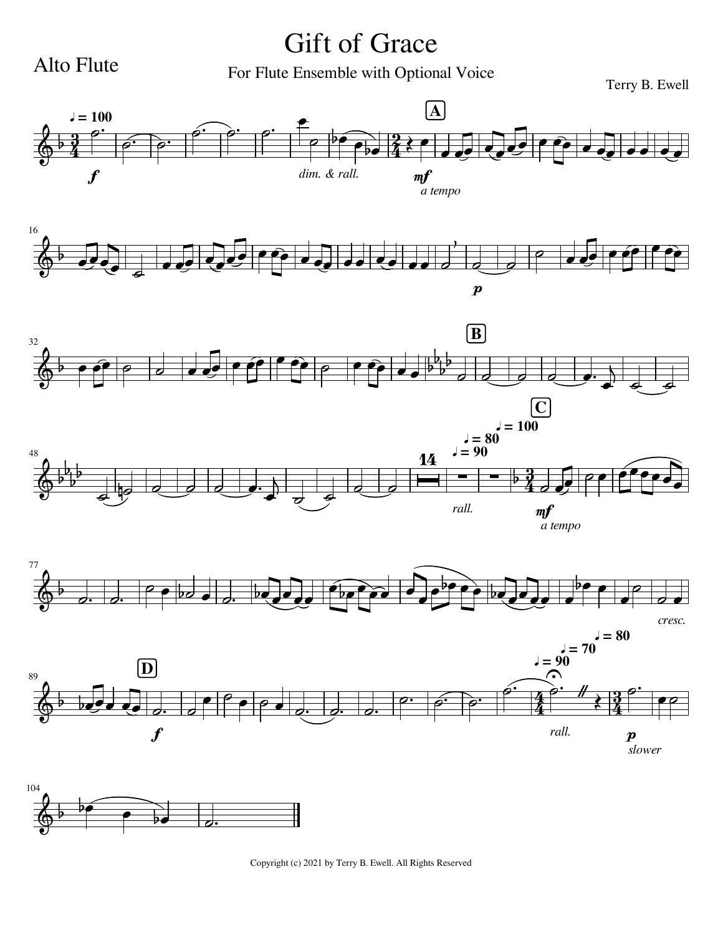Alto Flute For Flute Ensemble with Optional Voice

![](_page_19_Figure_4.jpeg)

![](_page_19_Figure_5.jpeg)

![](_page_19_Figure_6.jpeg)

![](_page_19_Figure_7.jpeg)

*a tempo*

![](_page_19_Figure_9.jpeg)

89 <u>bee</u>  $\overline{\phantom{a}}$  $\bullet$   $\circ$   $\circ$   $\bullet$   $\circ$  $\overline{\mathcal{L}}$  $\bullet$   $\bullet$   $\circ$   $\bullet$  $\frac{1}{2}$  $\bullet$  2. 2. 2  $\rho$ .  $\rho$ .  $\overrightarrow{e}$  $\widehat{\rho^{\cdot}+4\rho^{\cdot}+3\rho^{\cdot}}$  $\bullet$ p  $\overline{\phi}$ .  $\Phi$  beed  $\flat$   $\downarrow$  $\frac{4}{4}$   $\frac{3}{4}$  $\frac{1}{2}$  $\frac{1}{2}$  3  $\sum_{n=1}^{\infty}$  $\boldsymbol{f}$  $\boldsymbol{p}$  **= 90 = 80 = 70** *rall. slower* **D**  $\frac{1}{2}$   $\frac{1}{2}$   $\frac{1}{2}$   $\frac{1}{2}$   $\frac{1}{2}$   $\frac{1}{2}$   $\frac{1}{2}$   $\frac{1}{2}$   $\frac{1}{2}$   $\frac{1}{2}$   $\frac{1}{2}$   $\frac{1}{2}$   $\frac{1}{2}$   $\frac{1}{2}$   $\frac{1}{2}$   $\frac{1}{2}$   $\frac{1}{2}$   $\frac{1}{2}$   $\frac{1}{2}$   $\frac{1}{2}$   $\frac{1}{2}$   $\frac{1}{2}$   $\cdot$   $\rho \cdot \rho \cdot$  $\tilde{\cdot}$  $\cdot$   $\frac{1}{\sqrt{2}}$  $\overline{\cdot}$ 

![](_page_19_Figure_11.jpeg)

Copyright (c) 2021 by Terry B. Ewell. All Rights Reserved